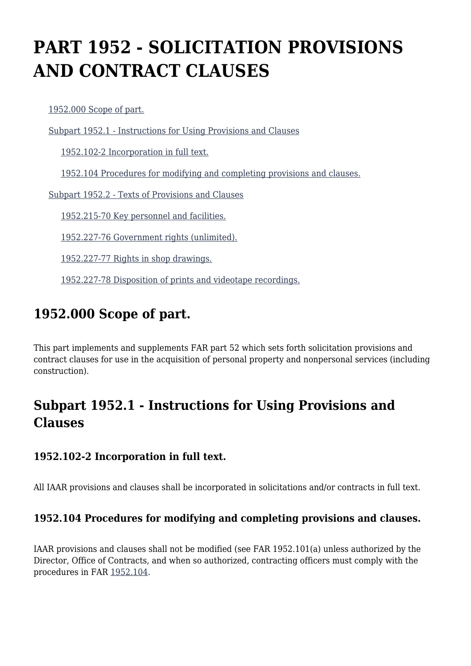# **PART 1952 - SOLICITATION PROVISIONS AND CONTRACT CLAUSES**

[1952.000 Scope of part.](https://www.acquisition.gov/%5Brp:link:iaar-part-1952%5D#Section_1952_000_T48_6053013011)

[Subpart 1952.1 - Instructions for Using Provisions and Clauses](https://www.acquisition.gov/%5Brp:link:iaar-part-1952%5D#Subpart_1952_1_T48_60530131)

[1952.102-2 Incorporation in full text.](https://www.acquisition.gov/%5Brp:link:iaar-part-1952%5D#Section_1952_102_2_T48_6053013111)

[1952.104 Procedures for modifying and completing provisions and clauses.](https://www.acquisition.gov/%5Brp:link:iaar-part-1952%5D#Section_1952_104_T48_6053013112)

[Subpart 1952.2 - Texts of Provisions and Clauses](https://www.acquisition.gov/%5Brp:link:iaar-part-1952%5D#Subpart_1952_2_T48_60530132)

[1952.215-70 Key personnel and facilities.](https://www.acquisition.gov/%5Brp:link:iaar-part-1952%5D#Section_1952_215_70_T48_6053013211)

[1952.227-76 Government rights \(unlimited\).](https://www.acquisition.gov/%5Brp:link:iaar-part-1952%5D#Section_1952_227_76_T48_6053013212)

[1952.227-77 Rights in shop drawings.](https://www.acquisition.gov/%5Brp:link:iaar-part-1952%5D#Section_1952_227_77_T48_6053013213)

[1952.227-78 Disposition of prints and videotape recordings.](https://www.acquisition.gov/%5Brp:link:iaar-part-1952%5D#Section_1952_227_78_T48_6053013214)

### **1952.000 Scope of part.**

This part implements and supplements FAR part 52 which sets forth solicitation provisions and contract clauses for use in the acquisition of personal property and nonpersonal services (including construction).

## **Subpart 1952.1 - Instructions for Using Provisions and Clauses**

#### **1952.102-2 Incorporation in full text.**

All IAAR provisions and clauses shall be incorporated in solicitations and/or contracts in full text.

#### **1952.104 Procedures for modifying and completing provisions and clauses.**

IAAR provisions and clauses shall not be modified (see FAR 1952.101(a) unless authorized by the Director, Office of Contracts, and when so authorized, contracting officers must comply with the procedures in FAR [1952.104.](https://www.acquisition.gov/%5Brp:link:iaar-part-1952%5D#Section_1952_104_T48_6053013112)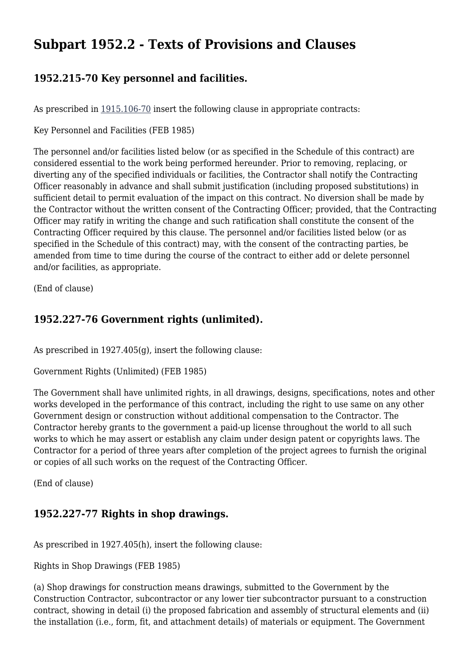### **Subpart 1952.2 - Texts of Provisions and Clauses**

### **1952.215-70 Key personnel and facilities.**

As prescribed in [1915.106-70](https://www.acquisition.gov/%5Brp:link:iaar-part-1915%5D#Section_1915_106_70_T48_605279112) insert the following clause in appropriate contracts:

Key Personnel and Facilities (FEB 1985)

The personnel and/or facilities listed below (or as specified in the Schedule of this contract) are considered essential to the work being performed hereunder. Prior to removing, replacing, or diverting any of the specified individuals or facilities, the Contractor shall notify the Contracting Officer reasonably in advance and shall submit justification (including proposed substitutions) in sufficient detail to permit evaluation of the impact on this contract. No diversion shall be made by the Contractor without the written consent of the Contracting Officer; provided, that the Contracting Officer may ratify in writing the change and such ratification shall constitute the consent of the Contracting Officer required by this clause. The personnel and/or facilities listed below (or as specified in the Schedule of this contract) may, with the consent of the contracting parties, be amended from time to time during the course of the contract to either add or delete personnel and/or facilities, as appropriate.

(End of clause)

### **1952.227-76 Government rights (unlimited).**

As prescribed in 1927.405(g), insert the following clause:

Government Rights (Unlimited) (FEB 1985)

The Government shall have unlimited rights, in all drawings, designs, specifications, notes and other works developed in the performance of this contract, including the right to use same on any other Government design or construction without additional compensation to the Contractor. The Contractor hereby grants to the government a paid-up license throughout the world to all such works to which he may assert or establish any claim under design patent or copyrights laws. The Contractor for a period of three years after completion of the project agrees to furnish the original or copies of all such works on the request of the Contracting Officer.

(End of clause)

#### **1952.227-77 Rights in shop drawings.**

As prescribed in 1927.405(h), insert the following clause:

Rights in Shop Drawings (FEB 1985)

(a) Shop drawings for construction means drawings, submitted to the Government by the Construction Contractor, subcontractor or any lower tier subcontractor pursuant to a construction contract, showing in detail (i) the proposed fabrication and assembly of structural elements and (ii) the installation (i.e., form, fit, and attachment details) of materials or equipment. The Government